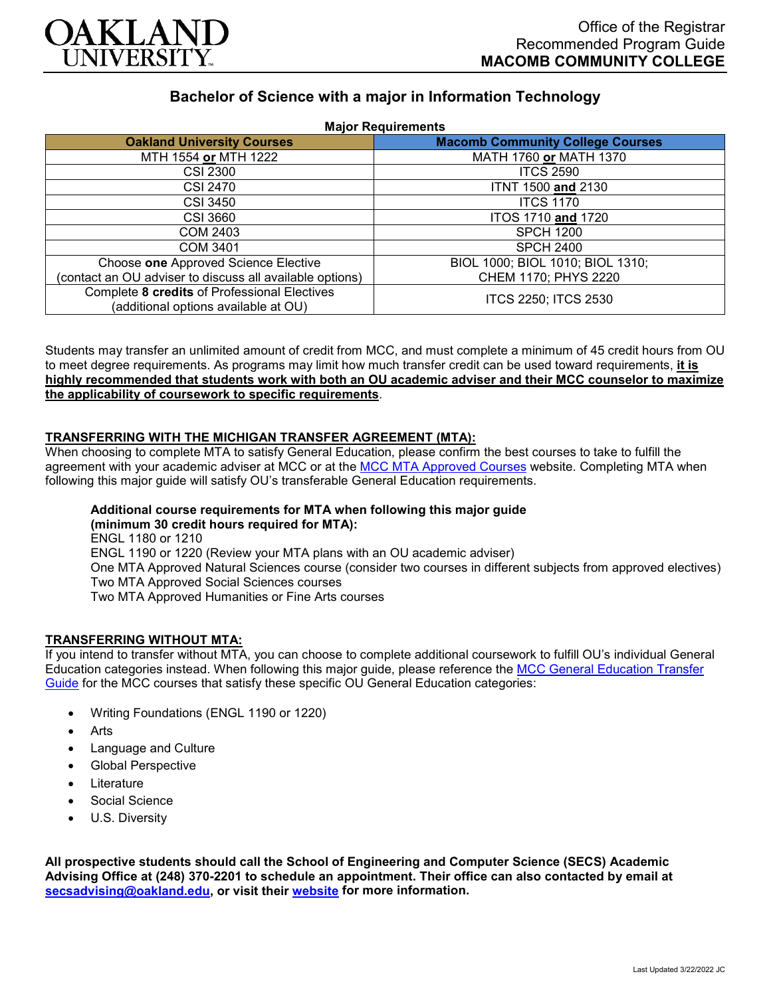

# **Bachelor of Science with a major in Information Technology**

| <b>Major Requirements</b>                                                            |                                         |
|--------------------------------------------------------------------------------------|-----------------------------------------|
| <b>Oakland University Courses</b>                                                    | <b>Macomb Community College Courses</b> |
| MTH 1554 or MTH 1222                                                                 | MATH 1760 or MATH 1370                  |
| <b>CSI 2300</b>                                                                      | <b>ITCS 2590</b>                        |
| <b>CSI 2470</b>                                                                      | <b>ITNT 1500 and 2130</b>               |
| <b>CSI 3450</b>                                                                      | <b>ITCS 1170</b>                        |
| <b>CSI 3660</b>                                                                      | ITOS 1710 and 1720                      |
| <b>COM 2403</b>                                                                      | <b>SPCH 1200</b>                        |
| <b>COM 3401</b>                                                                      | <b>SPCH 2400</b>                        |
| Choose one Approved Science Elective                                                 | BIOL 1000; BIOL 1010; BIOL 1310;        |
| (contact an OU adviser to discuss all available options)                             | CHEM 1170; PHYS 2220                    |
| Complete 8 credits of Professional Electives<br>(additional options available at OU) | ITCS 2250; ITCS 2530                    |

Students may transfer an unlimited amount of credit from MCC, and must complete a minimum of 45 credit hours from OU to meet degree requirements. As programs may limit how much transfer credit can be used toward requirements, **it is highly recommended that students work with both an OU academic adviser and their MCC counselor to maximize the applicability of coursework to specific requirements**.

## **TRANSFERRING WITH THE MICHIGAN TRANSFER AGREEMENT (MTA):**

When choosing to complete MTA to satisfy General Education, please confirm the best courses to take to fulfill the agreement with your academic adviser at MCC or at the [MCC MTA Approved Courses](https://www.macomb.edu/resources/transfer-articulation/attachments/mta-macrao-course-list.pdf) website. Completing MTA when following this major guide will satisfy OU's transferable General Education requirements.

# **Additional course requirements for MTA when following this major guide**

**(minimum 30 credit hours required for MTA):**

ENGL 1180 or 1210 ENGL 1190 or 1220 (Review your MTA plans with an OU academic adviser) One MTA Approved Natural Sciences course (consider two courses in different subjects from approved electives) Two MTA Approved Social Sciences courses Two MTA Approved Humanities or Fine Arts courses

## **TRANSFERRING WITHOUT MTA:**

If you intend to transfer without MTA, you can choose to complete additional coursework to fulfill OU's individual General Education categories instead. When following this major guide, please reference the [MCC General Education Transfer](https://www.oakland.edu/Assets/Oakland/program-guides/macomb-community-college/university-general-education-requirements/MCC%20Gen%20Ed.pdf)  [Guide](https://www.oakland.edu/Assets/Oakland/program-guides/macomb-community-college/university-general-education-requirements/MCC%20Gen%20Ed.pdf) for the MCC courses that satisfy these specific OU General Education categories:

- Writing Foundations (ENGL 1190 or 1220)
- **Arts**
- Language and Culture
- Global Perspective
- **Literature**
- Social Science
- U.S. Diversity

**All prospective students should call the School of Engineering and Computer Science (SECS) Academic Advising Office at (248) 370-2201 to schedule an appointment. Their office can also contacted by email at [secsadvising@oakland.edu,](mailto:secsadvising@oakland.edu) or visit their [website](https://wwwp.oakland.edu/secs/advising/) for more information.**